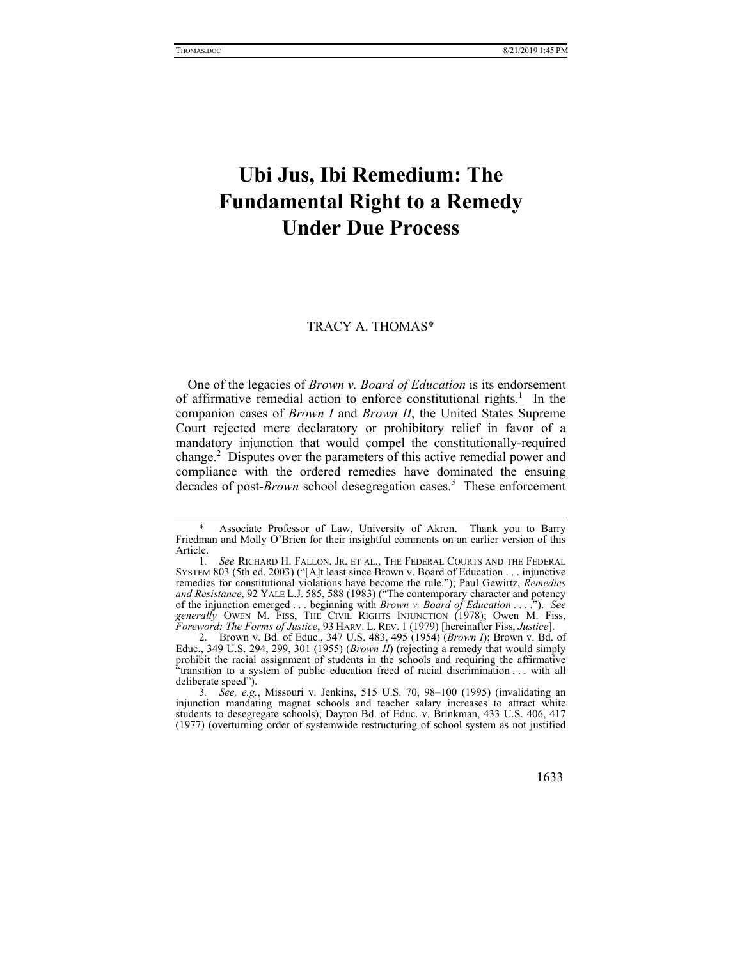# **Ubi Jus, Ibi Remedium: The Fundamental Right to a Remedy Under Due Process**

#### TRACY A. THOMAS\*

One of the legacies of *Brown v. Board of Education* is its endorsement of affirmative remedial action to enforce constitutional rights.<sup>1</sup> In the companion cases of *Brown I* and *Brown II*, the United States Supreme Court rejected mere declaratory or prohibitory relief in favor of a mandatory injunction that would compel the constitutionally-required change.<sup>2</sup> Disputes over the parameters of this active remedial power and compliance with the ordered remedies have dominated the ensuing decades of post-*Brown* school desegregation cases.<sup>3</sup> These enforcement

Associate Professor of Law, University of Akron. Thank you to Barry Friedman and Molly O'Brien for their insightful comments on an earlier version of this Article.

<sup>1</sup>*. See* RICHARD H. FALLON, JR. ET AL., THE FEDERAL COURTS AND THE FEDERAL SYSTEM 803 (5th ed. 2003) ("[A]t least since Brown v. Board of Education . . . injunctive remedies for constitutional violations have become the rule."); Paul Gewirtz, *Remedies and Resistance*, 92 YALE L.J. 585, 588 (1983) ("The contemporary character and potency of the injunction emerged . . . beginning with *Brown v. Board of Education* . . . ."). *See generally* OWEN M. FISS, THE CIVIL RIGHTS INJUNCTION (1978); Owen M. Fiss, *Foreword: The Forms of Justice*, 93 HARV. L. REV. 1 (1979) [hereinafter Fiss, *Justice*].

 <sup>2.</sup> Brown v. Bd. of Educ., 347 U.S. 483, 495 (1954) (*Brown I*); Brown v. Bd. of Educ., 349 U.S. 294, 299, 301 (1955) (*Brown II*) (rejecting a remedy that would simply prohibit the racial assignment of students in the schools and requiring the affirmative "transition to a system of public education freed of racial discrimination . . . with all deliberate speed").

<sup>3</sup>*. See, e.g.*, Missouri v. Jenkins, 515 U.S. 70, 98–100 (1995) (invalidating an injunction mandating magnet schools and teacher salary increases to attract white students to desegregate schools); Dayton Bd. of Educ. v. Brinkman, 433 U.S. 406, 417 (1977) (overturning order of systemwide restructuring of school system as not justified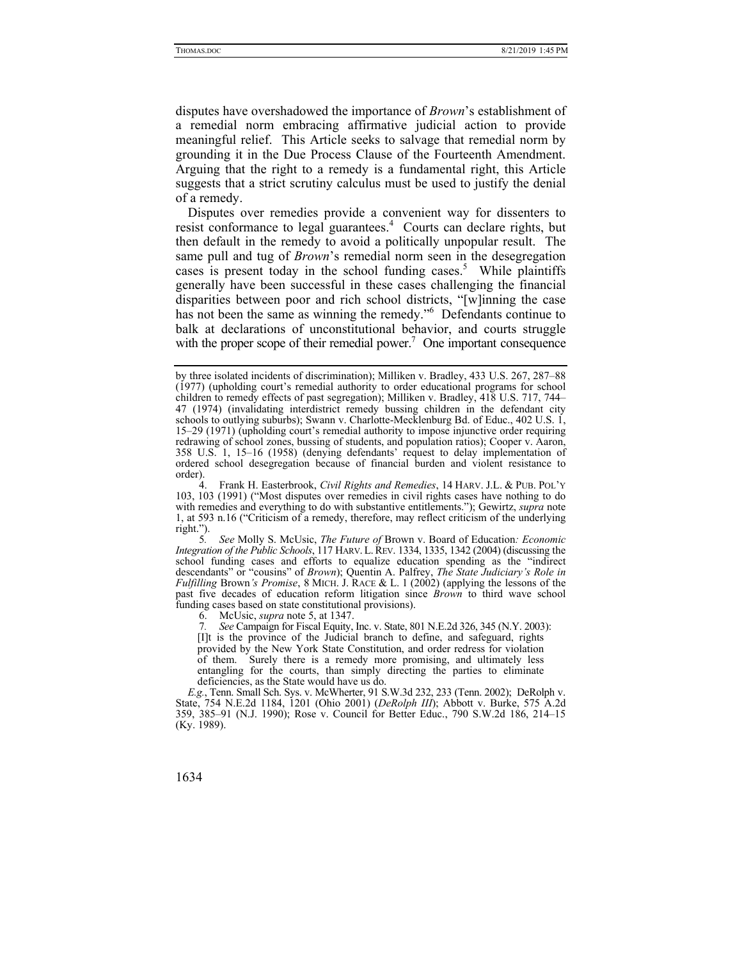disputes have overshadowed the importance of *Brown*'s establishment of a remedial norm embracing affirmative judicial action to provide meaningful relief. This Article seeks to salvage that remedial norm by grounding it in the Due Process Clause of the Fourteenth Amendment. Arguing that the right to a remedy is a fundamental right, this Article suggests that a strict scrutiny calculus must be used to justify the denial of a remedy.

Disputes over remedies provide a convenient way for dissenters to resist conformance to legal guarantees.<sup>4</sup> Courts can declare rights, but then default in the remedy to avoid a politically unpopular result. The same pull and tug of *Brown*'s remedial norm seen in the desegregation cases is present today in the school funding cases.<sup>5</sup> While plaintiffs generally have been successful in these cases challenging the financial disparities between poor and rich school districts, "[w]inning the case has not been the same as winning the remedy."6 Defendants continue to balk at declarations of unconstitutional behavior, and courts struggle with the proper scope of their remedial power.<sup>7</sup> One important consequence

by three isolated incidents of discrimination); Milliken v. Bradley, 433 U.S. 267, 287–88 (1977) (upholding court's remedial authority to order educational programs for school children to remedy effects of past segregation); Milliken v. Bradley, 418 U.S. 717, 744– 47 (1974) (invalidating interdistrict remedy bussing children in the defendant city schools to outlying suburbs); Swann v. Charlotte-Mecklenburg Bd. of Educ., 402 U.S. 1, 15–29 (1971) (upholding court's remedial authority to impose injunctive order requiring redrawing of school zones, bussing of students, and population ratios); Cooper v. Aaron, 358 U.S. 1, 15–16 (1958) (denying defendants' request to delay implementation of ordered school desegregation because of financial burden and violent resistance to order).

 <sup>4.</sup> Frank H. Easterbrook, *Civil Rights and Remedies*, 14 HARV. J.L. & PUB. POL'Y 103, 103 (1991) ("Most disputes over remedies in civil rights cases have nothing to do with remedies and everything to do with substantive entitlements."); Gewirtz, *supra* note 1, at 593 n.16 ("Criticism of a remedy, therefore, may reflect criticism of the underlying right.").

<sup>5</sup>*. See* Molly S. McUsic, *The Future of* Brown v. Board of Education*: Economic Integration of the Public Schools*, 117 HARV. L. REV. 1334, 1335, 1342 (2004) (discussing the school funding cases and efforts to equalize education spending as the "indirect descendants" or "cousins" of *Brown*); Quentin A. Palfrey, *The State Judiciary's Role in Fulfilling* Brown*'s Promise*, 8 MICH. J. RACE & L. 1 (2002) (applying the lessons of the past five decades of education reform litigation since *Brown* to third wave school funding cases based on state constitutional provisions).

 <sup>6.</sup> McUsic, *supra* note 5, at 1347.

<sup>7</sup>*. See* Campaign for Fiscal Equity, Inc. v. State, 801 N.E.2d 326, 345 (N.Y. 2003): [I]t is the province of the Judicial branch to define, and safeguard, rights provided by the New York State Constitution, and order redress for violation of them. Surely there is a remedy more promising, and ultimately less entangling for the courts, than simply directing the parties to eliminate deficiencies, as the State would have us do.

*E.g.*, Tenn. Small Sch. Sys. v. McWherter, 91 S.W.3d 232, 233 (Tenn. 2002); DeRolph v. State, 754 N.E.2d 1184, 1201 (Ohio 2001) (*DeRolph III*); Abbott v. Burke, 575 A.2d 359, 385–91 (N.J. 1990); Rose v. Council for Better Educ., 790 S.W.2d 186, 214–15 (Ky. 1989).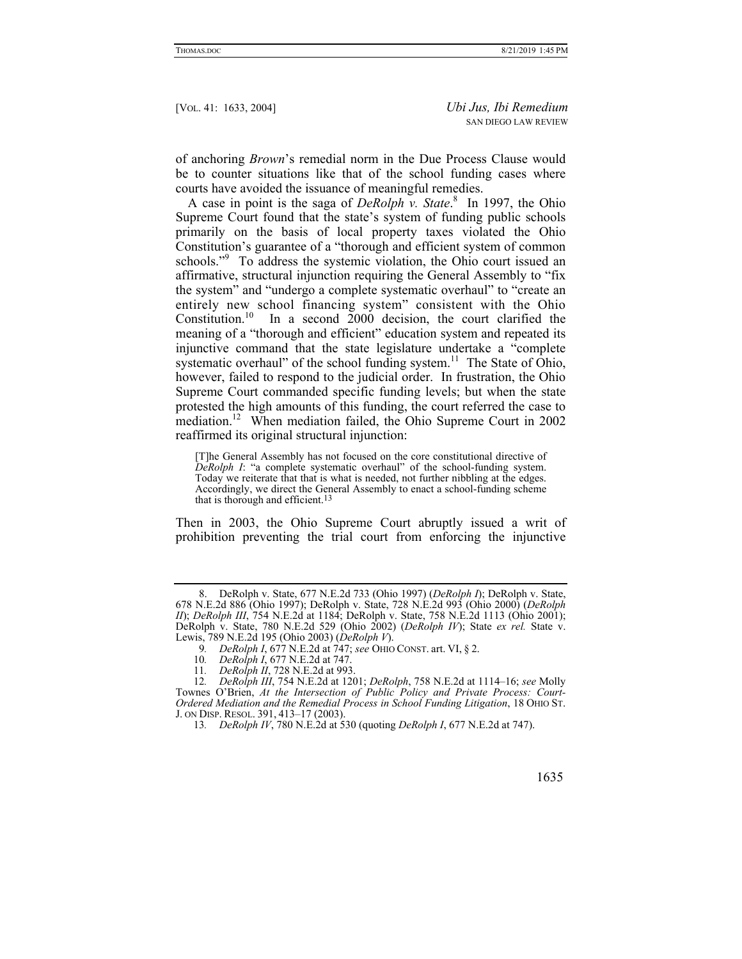of anchoring *Brown*'s remedial norm in the Due Process Clause would be to counter situations like that of the school funding cases where courts have avoided the issuance of meaningful remedies.

A case in point is the saga of *DeRolph v. State*. 8 In 1997, the Ohio Supreme Court found that the state's system of funding public schools primarily on the basis of local property taxes violated the Ohio Constitution's guarantee of a "thorough and efficient system of common schools."<sup>9</sup> To address the systemic violation, the Ohio court issued an affirmative, structural injunction requiring the General Assembly to "fix the system" and "undergo a complete systematic overhaul" to "create an entirely new school financing system" consistent with the Ohio Constitution.<sup>10</sup> In a second 2000 decision, the court clarified the meaning of a "thorough and efficient" education system and repeated its injunctive command that the state legislature undertake a "complete systematic overhaul" of the school funding system.<sup>11</sup> The State of Ohio, however, failed to respond to the judicial order. In frustration, the Ohio Supreme Court commanded specific funding levels; but when the state protested the high amounts of this funding, the court referred the case to mediation.<sup>12</sup> When mediation failed, the Ohio Supreme Court in 2002 reaffirmed its original structural injunction:

[T]he General Assembly has not focused on the core constitutional directive of *DeRolph I*: "a complete systematic overhaul" of the school-funding system. Today we reiterate that that is what is needed, not further nibbling at the edges. Accordingly, we direct the General Assembly to enact a school-funding scheme that is thorough and efficient.13

Then in 2003, the Ohio Supreme Court abruptly issued a writ of prohibition preventing the trial court from enforcing the injunctive

 <sup>8.</sup> DeRolph v. State, 677 N.E.2d 733 (Ohio 1997) (*DeRolph I*); DeRolph v. State, 678 N.E.2d 886 (Ohio 1997); DeRolph v. State, 728 N.E.2d 993 (Ohio 2000) (*DeRolph II*); *DeRolph III*, 754 N.E.2d at 1184; DeRolph v. State, 758 N.E.2d 1113 (Ohio 2001); DeRolph v. State, 780 N.E.2d 529 (Ohio 2002) (*DeRolph IV*); State *ex rel.* State v. Lewis, 789 N.E.2d 195 (Ohio 2003) (*DeRolph V*).

<sup>9</sup>*. DeRolph I*, 677 N.E.2d at 747; *see* OHIO CONST. art. VI, § 2.

<sup>10</sup>*. DeRolph I*, 677 N.E.2d at 747.

<sup>11</sup>*. DeRolph II*, 728 N.E.2d at 993.

<sup>12</sup>*. DeRolph III*, 754 N.E.2d at 1201; *DeRolph*, 758 N.E.2d at 1114–16; *see* Molly Townes O'Brien, *At the Intersection of Public Policy and Private Process: Court-Ordered Mediation and the Remedial Process in School Funding Litigation*, 18 OHIO ST. J. ON DISP. RESOL. 391, 413–17 (2003).

<sup>13</sup>*. DeRolph IV*, 780 N.E.2d at 530 (quoting *DeRolph I*, 677 N.E.2d at 747).

 <sup>1635</sup>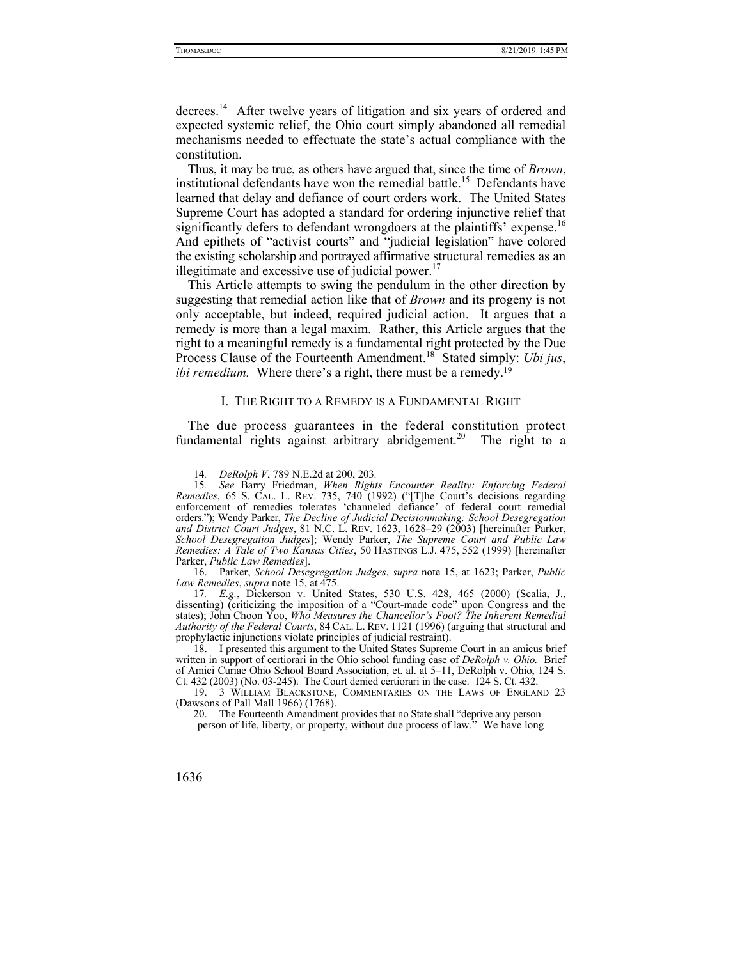decrees.14 After twelve years of litigation and six years of ordered and expected systemic relief, the Ohio court simply abandoned all remedial mechanisms needed to effectuate the state's actual compliance with the constitution.

Thus, it may be true, as others have argued that, since the time of *Brown*, institutional defendants have won the remedial battle.<sup>15</sup> Defendants have learned that delay and defiance of court orders work. The United States Supreme Court has adopted a standard for ordering injunctive relief that significantly defers to defendant wrongdoers at the plaintiffs' expense.<sup>16</sup> And epithets of "activist courts" and "judicial legislation" have colored the existing scholarship and portrayed affirmative structural remedies as an illegitimate and excessive use of judicial power. $17$ 

This Article attempts to swing the pendulum in the other direction by suggesting that remedial action like that of *Brown* and its progeny is not only acceptable, but indeed, required judicial action. It argues that a remedy is more than a legal maxim. Rather, this Article argues that the right to a meaningful remedy is a fundamental right protected by the Due Process Clause of the Fourteenth Amendment.18 Stated simply: *Ubi jus*, *ibi remedium.* Where there's a right, there must be a remedy.<sup>19</sup>

#### I. THE RIGHT TO A REMEDY IS A FUNDAMENTAL RIGHT

The due process guarantees in the federal constitution protect fundamental rights against arbitrary abridgement.<sup>20</sup> The right to a

 16. Parker, *School Desegregation Judges*, *supra* note 15, at 1623; Parker, *Public Law Remedies*, *supra* note 15, at 475.

17*. E.g.*, Dickerson v. United States, 530 U.S. 428, 465 (2000) (Scalia, J., dissenting) (criticizing the imposition of a "Court-made code" upon Congress and the states); John Choon Yoo, *Who Measures the Chancellor's Foot? The Inherent Remedial Authority of the Federal Courts*, 84 CAL. L. REV. 1121 (1996) (arguing that structural and prophylactic injunctions violate principles of judicial restraint).

 18. I presented this argument to the United States Supreme Court in an amicus brief written in support of certiorari in the Ohio school funding case of *DeRolph v. Ohio.* Brief of Amici Curiae Ohio School Board Association, et. al. at 5–11, DeRolph v. Ohio, 124 S. Ct. 432 (2003) (No. 03-245). The Court denied certiorari in the case. 124 S. Ct. 432.

 19. 3 WILLIAM BLACKSTONE, COMMENTARIES ON THE LAWS OF ENGLAND 23 (Dawsons of Pall Mall 1966) (1768).

 20. The Fourteenth Amendment provides that no State shall "deprive any person person of life, liberty, or property, without due process of law." We have long

<sup>14</sup>*. DeRolph V*, 789 N.E.2d at 200, 203*.*

<sup>15</sup>*. See* Barry Friedman, *When Rights Encounter Reality: Enforcing Federal Remedies*, 65 S. CAL. L. REV. 735, 740 (1992) ("[T]he Court's decisions regarding enforcement of remedies tolerates 'channeled defiance' of federal court remedial orders."); Wendy Parker, *The Decline of Judicial Decisionmaking: School Desegregation and District Court Judges*, 81 N.C. L. REV. 1623, 1628–29 (2003) [hereinafter Parker, *School Desegregation Judges*]; Wendy Parker, *The Supreme Court and Public Law Remedies: A Tale of Two Kansas Cities*, 50 HASTINGS L.J. 475, 552 (1999) [hereinafter Parker, *Public Law Remedies*].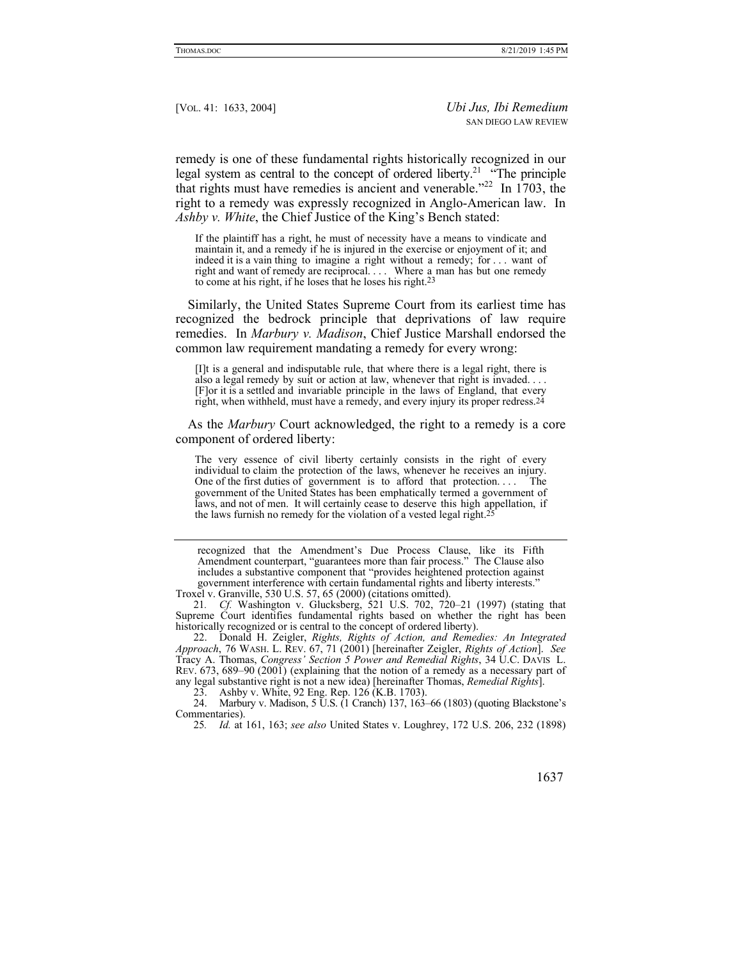remedy is one of these fundamental rights historically recognized in our legal system as central to the concept of ordered liberty.<sup>21</sup> "The principle that rights must have remedies is ancient and venerable."<sup>22</sup> In 1703, the right to a remedy was expressly recognized in Anglo-American law. In *Ashby v. White*, the Chief Justice of the King's Bench stated:

If the plaintiff has a right, he must of necessity have a means to vindicate and maintain it, and a remedy if he is injured in the exercise or enjoyment of it; and indeed it is a vain thing to imagine a right without a remedy; for . . . want of right and want of remedy are reciprocal. . . . Where a man has but one remedy to come at his right, if he loses that he loses his right.23

Similarly, the United States Supreme Court from its earliest time has recognized the bedrock principle that deprivations of law require remedies. In *Marbury v. Madison*, Chief Justice Marshall endorsed the common law requirement mandating a remedy for every wrong:

[I]t is a general and indisputable rule, that where there is a legal right, there is also a legal remedy by suit or action at law, whenever that right is invaded. . . . [F]or it is a settled and invariable principle in the laws of England, that every right, when withheld, must have a remedy, and every injury its proper redress.<sup>24</sup>

As the *Marbury* Court acknowledged, the right to a remedy is a core component of ordered liberty:

The very essence of civil liberty certainly consists in the right of every individual to claim the protection of the laws, whenever he receives an injury. One of the first duties of government is to afford that protection. . . . The government of the United States has been emphatically termed a government of laws, and not of men. It will certainly cease to deserve this high appellation, if the laws furnish no remedy for the violation of a vested legal right.<sup>2</sup>

recognized that the Amendment's Due Process Clause, like its Fifth Amendment counterpart, "guarantees more than fair process." The Clause also includes a substantive component that "provides heightened protection against government interference with certain fundamental rights and liberty interests."

 22. Donald H. Zeigler, *Rights, Rights of Action, and Remedies: An Integrated Approach*, 76 WASH. L. REV. 67, 71 (2001) [hereinafter Zeigler, *Rights of Action*]. *See*  Tracy A. Thomas, *Congress' Section 5 Power and Remedial Rights*, 34 U.C. DAVIS L. REV. 673, 689–90 (2001) (explaining that the notion of a remedy as a necessary part of any legal substantive right is not a new idea) [hereinafter Thomas, *Remedial Rights*].

23. Ashby v. White, 92 Eng. Rep. 126 (K.B. 1703).

 24. Marbury v. Madison, 5 U.S. (1 Cranch) 137, 163–66 (1803) (quoting Blackstone's Commentaries).

25*. Id.* at 161, 163; *see also* United States v. Loughrey, 172 U.S. 206, 232 (1898)

Troxel v. Granville, 530 U.S. 57, 65 (2000) (citations omitted).

<sup>21</sup>*. Cf.* Washington v. Glucksberg, 521 U.S. 702, 720–21 (1997) (stating that Supreme Court identifies fundamental rights based on whether the right has been historically recognized or is central to the concept of ordered liberty).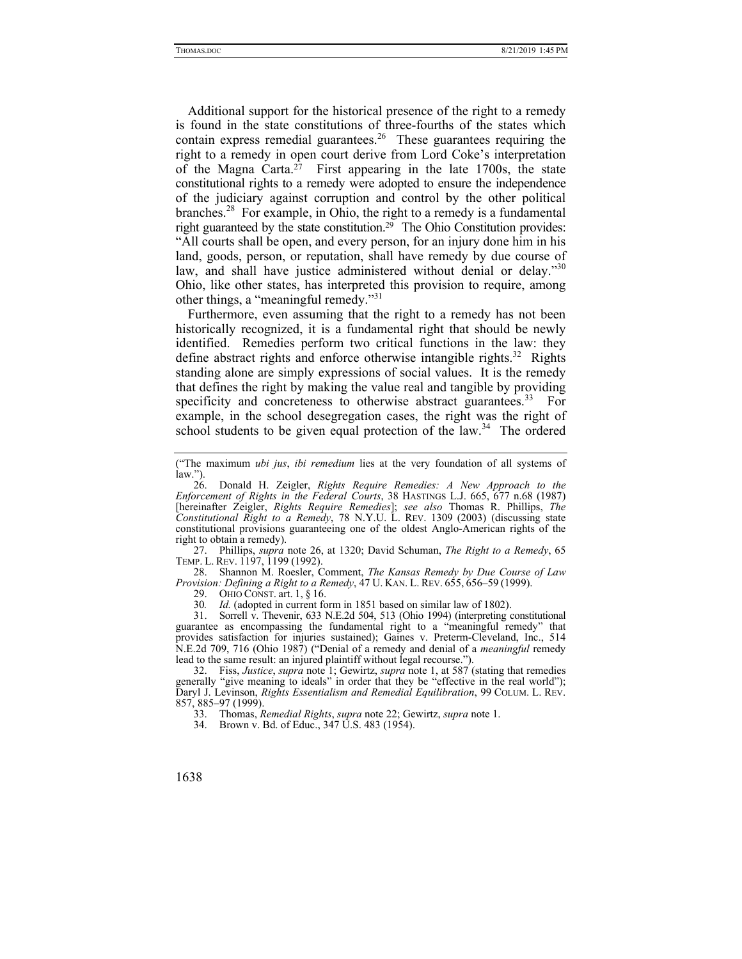Additional support for the historical presence of the right to a remedy is found in the state constitutions of three-fourths of the states which contain express remedial guarantees.<sup>26</sup> These guarantees requiring the right to a remedy in open court derive from Lord Coke's interpretation of the Magna Carta.<sup>27</sup> First appearing in the late 1700s, the state constitutional rights to a remedy were adopted to ensure the independence of the judiciary against corruption and control by the other political branches.<sup>28</sup> For example, in Ohio, the right to a remedy is a fundamental right guaranteed by the state constitution.29 The Ohio Constitution provides: "All courts shall be open, and every person, for an injury done him in his land, goods, person, or reputation, shall have remedy by due course of law, and shall have justice administered without denial or delay."30 Ohio, like other states, has interpreted this provision to require, among other things, a "meaningful remedy."<sup>31</sup>

Furthermore, even assuming that the right to a remedy has not been historically recognized, it is a fundamental right that should be newly identified. Remedies perform two critical functions in the law: they define abstract rights and enforce otherwise intangible rights.<sup>32</sup> Rights standing alone are simply expressions of social values. It is the remedy that defines the right by making the value real and tangible by providing specificity and concreteness to otherwise abstract guarantees.<sup>33</sup> For example, in the school desegregation cases, the right was the right of school students to be given equal protection of the  $law<sup>34</sup>$ . The ordered

 27. Phillips, *supra* note 26, at 1320; David Schuman, *The Right to a Remedy*, 65 TEMP. L. REV. 1197, 1199 (1992).

 28. Shannon M. Roesler, Comment, *The Kansas Remedy by Due Course of Law Provision: Defining a Right to a Remedy*, 47 U. KAN. L. REV. 655, 656–59 (1999).

29. OHIO CONST. art. 1, § 16.

30*. Id.* (adopted in current form in 1851 based on similar law of 1802).

 31. Sorrell v. Thevenir, 633 N.E.2d 504, 513 (Ohio 1994) (interpreting constitutional guarantee as encompassing the fundamental right to a "meaningful remedy" that provides satisfaction for injuries sustained); Gaines v. Preterm-Cleveland, Inc., 514 N.E.2d 709, 716 (Ohio 1987) ("Denial of a remedy and denial of a *meaningful* remedy lead to the same result: an injured plaintiff without legal recourse.").

 32. Fiss, *Justice*, *supra* note 1; Gewirtz, *supra* note 1, at 587 (stating that remedies generally "give meaning to ideals" in order that they be "effective in the real world"); Daryl J. Levinson, *Rights Essentialism and Remedial Equilibration*, 99 COLUM. L. REV. 857, 885–97 (1999).

33. Thomas, *Remedial Rights*, *supra* note 22; Gewirtz, *supra* note 1.

34. Brown v. Bd. of Educ., 347 U.S. 483 (1954).

<sup>(&</sup>quot;The maximum *ubi jus*, *ibi remedium* lies at the very foundation of all systems of law.").

 <sup>26.</sup> Donald H. Zeigler, *Rights Require Remedies: A New Approach to the Enforcement of Rights in the Federal Courts*, 38 HASTINGS L.J. 665, 677 n.68 (1987) [hereinafter Zeigler, *Rights Require Remedies*]; *see also* Thomas R. Phillips, *The Constitutional Right to a Remedy*, 78 N.Y.U. L. REV. 1309 (2003) (discussing state constitutional provisions guaranteeing one of the oldest Anglo-American rights of the right to obtain a remedy).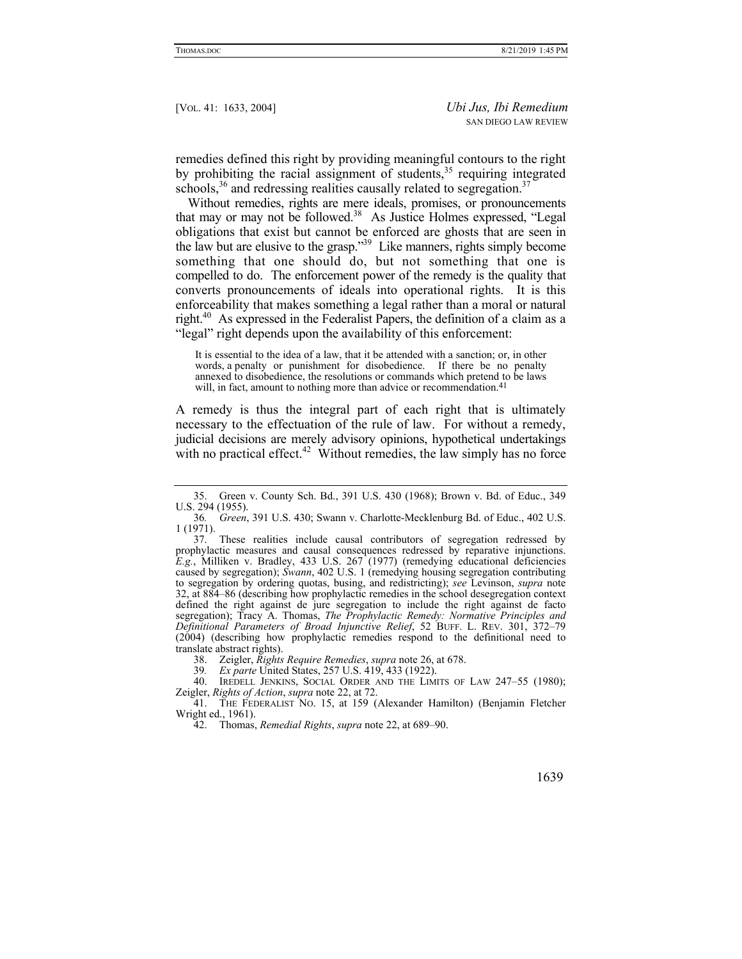remedies defined this right by providing meaningful contours to the right by prohibiting the racial assignment of students,  $35$  requiring integrated schools,  $36$  and redressing realities causally related to segregation.  $37$ 

Without remedies, rights are mere ideals, promises, or pronouncements that may or may not be followed.<sup>38</sup> As Justice Holmes expressed, "Legal obligations that exist but cannot be enforced are ghosts that are seen in the law but are elusive to the grasp."<sup>39</sup> Like manners, rights simply become something that one should do, but not something that one is compelled to do. The enforcement power of the remedy is the quality that converts pronouncements of ideals into operational rights. It is this enforceability that makes something a legal rather than a moral or natural right.40 As expressed in the Federalist Papers, the definition of a claim as a "legal" right depends upon the availability of this enforcement:

It is essential to the idea of a law, that it be attended with a sanction; or, in other words, a penalty or punishment for disobedience. If there be no penalty annexed to disobedience, the resolutions or commands which pretend to be laws will, in fact, amount to nothing more than advice or recommendation.<sup>41</sup>

A remedy is thus the integral part of each right that is ultimately necessary to the effectuation of the rule of law. For without a remedy, judicial decisions are merely advisory opinions, hypothetical undertakings with no practical effect.<sup>42</sup> Without remedies, the law simply has no force

39*. Ex parte* United States, 257 U.S. 419, 433 (1922).

 <sup>35.</sup> Green v. County Sch. Bd., 391 U.S. 430 (1968); Brown v. Bd. of Educ., 349 U.S. 294 (1955).

<sup>36</sup>*. Green*, 391 U.S. 430; Swann v. Charlotte-Mecklenburg Bd. of Educ., 402 U.S. 1 (1971).

 <sup>37.</sup> These realities include causal contributors of segregation redressed by prophylactic measures and causal consequences redressed by reparative injunctions. *E.g.*, Milliken v. Bradley, 433 U.S. 267 (1977) (remedying educational deficiencies caused by segregation); *Swann*, 402 U.S. 1 (remedying housing segregation contributing to segregation by ordering quotas, busing, and redistricting); *see* Levinson, *supra* note 32, at 884–86 (describing how prophylactic remedies in the school desegregation context defined the right against de jure segregation to include the right against de facto segregation); Tracy A. Thomas, *The Prophylactic Remedy: Normative Principles and Definitional Parameters of Broad Injunctive Relief*, 52 BUFF. L. REV. 301, 372–79 (2004) (describing how prophylactic remedies respond to the definitional need to translate abstract rights).

 <sup>38.</sup> Zeigler, *Rights Require Remedies*, *supra* note 26, at 678.

<sup>40.</sup> IREDELL JENKINS, SOCIAL ORDER AND THE LIMITS OF LAW 247-55 (1980); Zeigler, *Rights of Action*, *supra* note 22, at 72.

 <sup>41.</sup> THE FEDERALIST NO. 15, at 159 (Alexander Hamilton) (Benjamin Fletcher Wright ed., 1961).

 <sup>42.</sup> Thomas, *Remedial Rights*, *supra* note 22, at 689–90.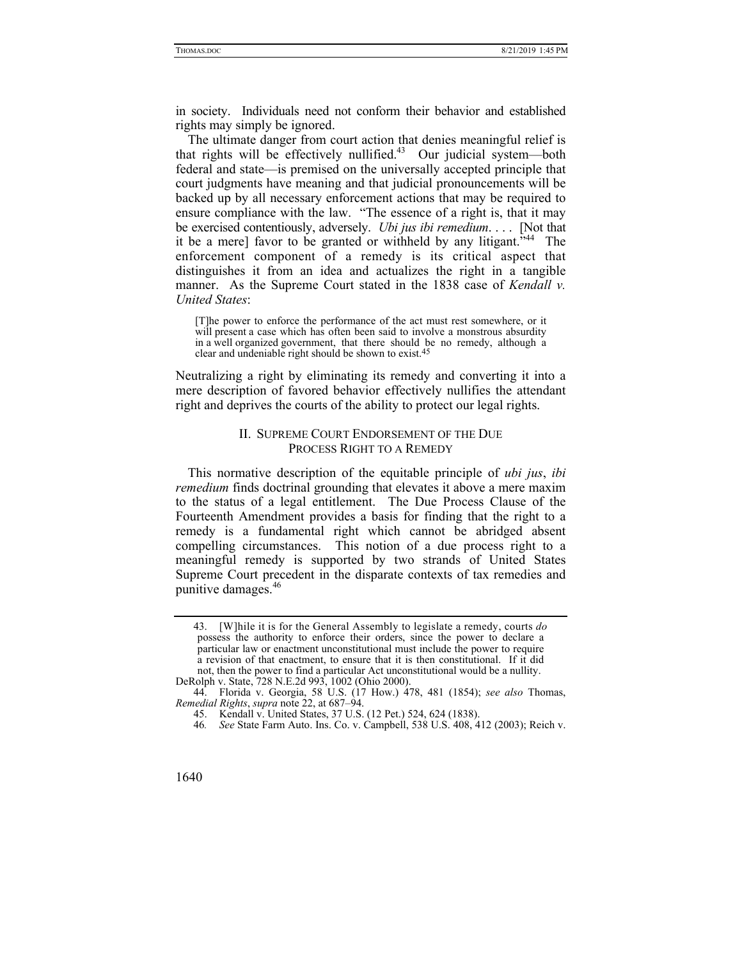in society. Individuals need not conform their behavior and established rights may simply be ignored.

The ultimate danger from court action that denies meaningful relief is that rights will be effectively nullified. $43$  Our judicial system—both federal and state—is premised on the universally accepted principle that court judgments have meaning and that judicial pronouncements will be backed up by all necessary enforcement actions that may be required to ensure compliance with the law. "The essence of a right is, that it may be exercised contentiously, adversely. *Ubi jus ibi remedium*. . . .[Not that it be a mere] favor to be granted or withheld by any litigant."44 The enforcement component of a remedy is its critical aspect that distinguishes it from an idea and actualizes the right in a tangible manner. As the Supreme Court stated in the 1838 case of *Kendall v. United States*:

[T]he power to enforce the performance of the act must rest somewhere, or it will present a case which has often been said to involve a monstrous absurdity in a well organized government, that there should be no remedy, although a clear and undeniable right should be shown to exist.45

Neutralizing a right by eliminating its remedy and converting it into a mere description of favored behavior effectively nullifies the attendant right and deprives the courts of the ability to protect our legal rights.

## II. SUPREME COURT ENDORSEMENT OF THE DUE PROCESS RIGHT TO A REMEDY

This normative description of the equitable principle of *ubi jus*, *ibi remedium* finds doctrinal grounding that elevates it above a mere maxim to the status of a legal entitlement. The Due Process Clause of the Fourteenth Amendment provides a basis for finding that the right to a remedy is a fundamental right which cannot be abridged absent compelling circumstances. This notion of a due process right to a meaningful remedy is supported by two strands of United States Supreme Court precedent in the disparate contexts of tax remedies and punitive damages.<sup>46</sup>

 <sup>43. [</sup>W]hile it is for the General Assembly to legislate a remedy, courts *do*  possess the authority to enforce their orders, since the power to declare a particular law or enactment unconstitutional must include the power to require a revision of that enactment, to ensure that it is then constitutional. If it did not, then the power to find a particular Act unconstitutional would be a nullity. DeRolph v. State, 728 N.E.2d 993, 1002 (Ohio 2000).

 <sup>44.</sup> Florida v. Georgia, 58 U.S. (17 How.) 478, 481 (1854); *see also* Thomas, *Remedial Rights*, *supra* note 22, at 687–94.

 <sup>45.</sup> Kendall v. United States, 37 U.S. (12 Pet.) 524, 624 (1838).

<sup>46</sup>*. See* State Farm Auto. Ins. Co. v. Campbell, 538 U.S. 408, 412 (2003); Reich v.

<sup>1640</sup>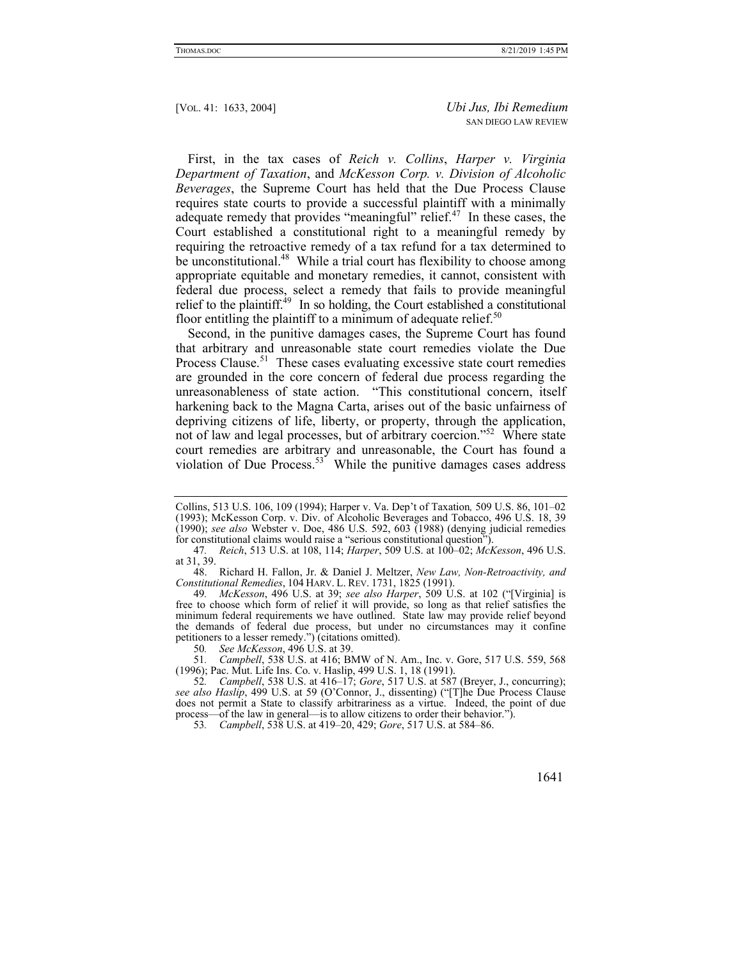First, in the tax cases of *Reich v. Collins*, *Harper v. Virginia Department of Taxation*, and *McKesson Corp. v. Division of Alcoholic Beverages*, the Supreme Court has held that the Due Process Clause requires state courts to provide a successful plaintiff with a minimally adequate remedy that provides "meaningful" relief.<sup>47</sup> In these cases, the Court established a constitutional right to a meaningful remedy by requiring the retroactive remedy of a tax refund for a tax determined to be unconstitutional.<sup>48</sup> While a trial court has flexibility to choose among appropriate equitable and monetary remedies, it cannot, consistent with federal due process, select a remedy that fails to provide meaningful relief to the plaintiff.<sup>49</sup> In so holding, the Court established a constitutional floor entitling the plaintiff to a minimum of adequate relief.<sup>50</sup>

Second, in the punitive damages cases, the Supreme Court has found that arbitrary and unreasonable state court remedies violate the Due Process Clause.<sup>51</sup> These cases evaluating excessive state court remedies are grounded in the core concern of federal due process regarding the unreasonableness of state action. "This constitutional concern, itself harkening back to the Magna Carta, arises out of the basic unfairness of depriving citizens of life, liberty, or property, through the application, not of law and legal processes, but of arbitrary coercion."<sup>52</sup> Where state court remedies are arbitrary and unreasonable, the Court has found a violation of Due Process.<sup>53</sup> While the punitive damages cases address

 48. Richard H. Fallon, Jr. & Daniel J. Meltzer, *New Law, Non-Retroactivity, and Constitutional Remedies*, 104 HARV. L. REV. 1731, 1825 (1991).

49*. McKesson*, 496 U.S. at 39; *see also Harper*, 509 U.S. at 102 ("[Virginia] is free to choose which form of relief it will provide, so long as that relief satisfies the minimum federal requirements we have outlined. State law may provide relief beyond the demands of federal due process, but under no circumstances may it confine petitioners to a lesser remedy.") (citations omitted).

51*. Campbell*, 538 U.S. at 416; BMW of N. Am., Inc. v. Gore, 517 U.S. 559, 568 (1996); Pac. Mut. Life Ins. Co. v. Haslip, 499 U.S. 1, 18 (1991).

53*. Campbell*, 538 U.S. at 419–20, 429; *Gore*, 517 U.S. at 584–86.

Collins, 513 U.S. 106, 109 (1994); Harper v. Va. Dep't of Taxation*,* 509 U.S. 86, 101–02 (1993); McKesson Corp. v. Div. of Alcoholic Beverages and Tobacco, 496 U.S. 18, 39 (1990); *see also* Webster v. Doe, 486 U.S. 592, 603 (1988) (denying judicial remedies for constitutional claims would raise a "serious constitutional question").

<sup>47</sup>*. Reich*, 513 U.S. at 108, 114; *Harper*, 509 U.S. at 100–02; *McKesson*, 496 U.S. at 31, 39.

<sup>50</sup>*. See McKesson*, 496 U.S. at 39.

<sup>52</sup>*. Campbell*, 538 U.S. at 416–17; *Gore*, 517 U.S. at 587 (Breyer, J., concurring); *see also Haslip*, 499 U.S. at 59 (O'Connor, J., dissenting) ("[T]he Due Process Clause does not permit a State to classify arbitrariness as a virtue. Indeed, the point of due process—of the law in general—is to allow citizens to order their behavior.").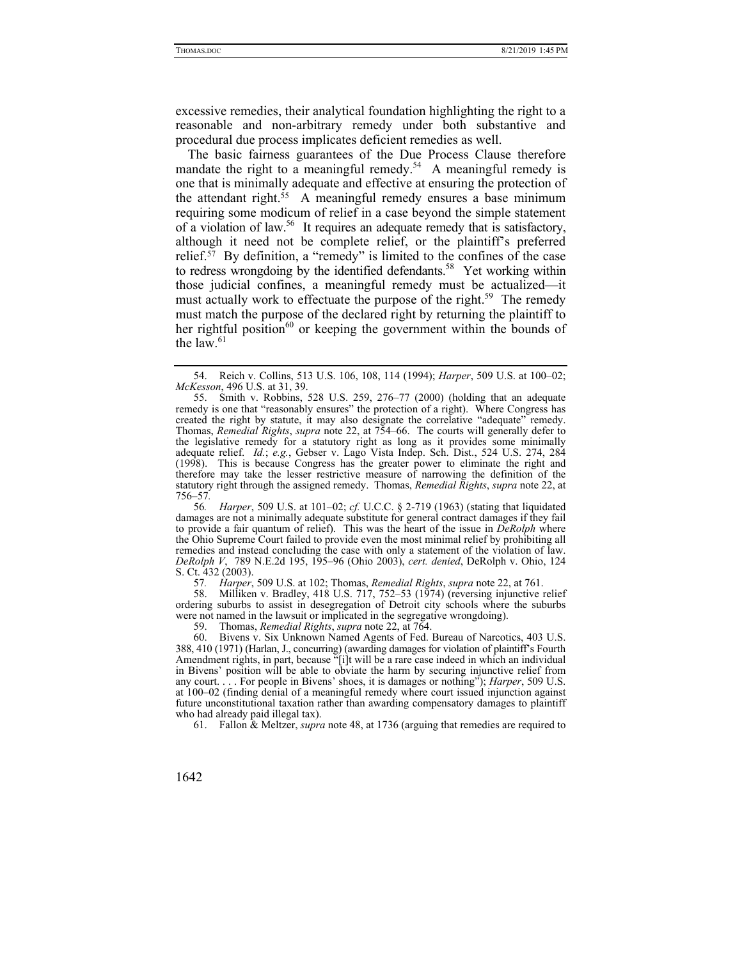excessive remedies, their analytical foundation highlighting the right to a reasonable and non-arbitrary remedy under both substantive and procedural due process implicates deficient remedies as well.

The basic fairness guarantees of the Due Process Clause therefore mandate the right to a meaningful remedy.<sup>54</sup> A meaningful remedy is one that is minimally adequate and effective at ensuring the protection of the attendant right.55 A meaningful remedy ensures a base minimum requiring some modicum of relief in a case beyond the simple statement of a violation of law.56 It requires an adequate remedy that is satisfactory, although it need not be complete relief, or the plaintiff's preferred relief.<sup>57</sup> By definition, a "remedy" is limited to the confines of the case to redress wrongdoing by the identified defendants.<sup>58</sup> Yet working within those judicial confines, a meaningful remedy must be actualized—it must actually work to effectuate the purpose of the right.<sup>59</sup> The remedy must match the purpose of the declared right by returning the plaintiff to her rightful position<sup>60</sup> or keeping the government within the bounds of the law. $61$ 

56*. Harper*, 509 U.S. at 101–02; *cf.* U.C.C. § 2-719 (1963) (stating that liquidated damages are not a minimally adequate substitute for general contract damages if they fail to provide a fair quantum of relief). This was the heart of the issue in *DeRolph* where the Ohio Supreme Court failed to provide even the most minimal relief by prohibiting all remedies and instead concluding the case with only a statement of the violation of law. *DeRolph V*,789 N.E.2d 195, 195–96 (Ohio 2003), *cert. denied*, DeRolph v. Ohio, 124 S. Ct. 432 (2003).

57*. Harper*, 509 U.S. at 102; Thomas, *Remedial Rights*, *supra* note 22, at 761.

58. Milliken v. Bradley, 418 U.S. 717, 752–53 (1974) (reversing injunctive relief ordering suburbs to assist in desegregation of Detroit city schools where the suburbs were not named in the lawsuit or implicated in the segregative wrongdoing).

59. Thomas, *Remedial Rights*, *supra* note 22, at 764.

 60. Bivens v. Six Unknown Named Agents of Fed. Bureau of Narcotics, 403 U.S. 388, 410 (1971) (Harlan, J., concurring) (awarding damages for violation of plaintiff's Fourth Amendment rights, in part, because "[i]t will be a rare case indeed in which an individual in Bivens' position will be able to obviate the harm by securing injunctive relief from any court. . . . For people in Bivens' shoes, it is damages or nothing"); *Harper*, 509 U.S. at 100–02 (finding denial of a meaningful remedy where court issued injunction against future unconstitutional taxation rather than awarding compensatory damages to plaintiff who had already paid illegal tax).

61. Fallon & Meltzer, *supra* note 48, at 1736 (arguing that remedies are required to

 <sup>54.</sup> Reich v. Collins, 513 U.S. 106, 108, 114 (1994); *Harper*, 509 U.S. at 100–02; *McKesson*, 496 U.S. at 31, 39.

 <sup>55.</sup> Smith v. Robbins, 528 U.S. 259, 276–77 (2000) (holding that an adequate remedy is one that "reasonably ensures" the protection of a right). Where Congress has created the right by statute, it may also designate the correlative "adequate" remedy. Thomas, *Remedial Rights*, *supra* note 22, at 754–66. The courts will generally defer to the legislative remedy for a statutory right as long as it provides some minimally adequate relief. *Id.*; *e.g.*, Gebser v. Lago Vista Indep. Sch. Dist., 524 U.S. 274, 284 (1998). This is because Congress has the greater power to eliminate the right and therefore may take the lesser restrictive measure of narrowing the definition of the statutory right through the assigned remedy. Thomas, *Remedial Rights*, *supra* note 22, at 756–57*.*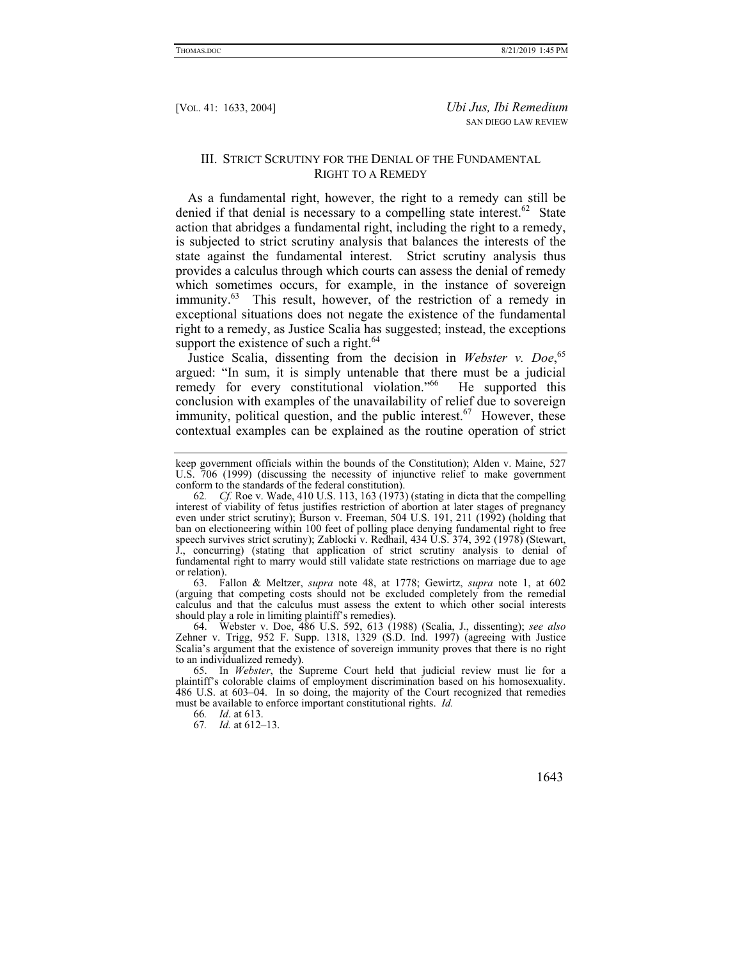### III. STRICT SCRUTINY FOR THE DENIAL OF THE FUNDAMENTAL RIGHT TO A REMEDY

As a fundamental right, however, the right to a remedy can still be denied if that denial is necessary to a compelling state interest. $62$  State action that abridges a fundamental right, including the right to a remedy, is subjected to strict scrutiny analysis that balances the interests of the state against the fundamental interest. Strict scrutiny analysis thus provides a calculus through which courts can assess the denial of remedy which sometimes occurs, for example, in the instance of sovereign immunity.<sup>63</sup> This result, however, of the restriction of a remedy in exceptional situations does not negate the existence of the fundamental right to a remedy, as Justice Scalia has suggested; instead, the exceptions support the existence of such a right.<sup>64</sup>

Justice Scalia, dissenting from the decision in Webster v. Doe,<sup>65</sup> argued: "In sum, it is simply untenable that there must be a judicial remedy for every constitutional violation."<sup>66</sup> He supported this conclusion with examples of the unavailability of relief due to sovereign immunity, political question, and the public interest.<sup>67</sup> However, these contextual examples can be explained as the routine operation of strict

 63. Fallon & Meltzer, *supra* note 48, at 1778; Gewirtz, *supra* note 1, at 602 (arguing that competing costs should not be excluded completely from the remedial calculus and that the calculus must assess the extent to which other social interests should play a role in limiting plaintiff's remedies).

 64. Webster v. Doe, 486 U.S. 592, 613 (1988) (Scalia, J., dissenting); *see also*  Zehner v. Trigg, 952 F. Supp. 1318, 1329 (S.D. Ind. 1997) (agreeing with Justice Scalia's argument that the existence of sovereign immunity proves that there is no right to an individualized remedy).

66*. Id*. at 613.

67*. Id.* at 612–13.

keep government officials within the bounds of the Constitution); Alden v. Maine, 527 U.S. 706 (1999) (discussing the necessity of injunctive relief to make government conform to the standards of the federal constitution).

<sup>62</sup>*. Cf.* Roe v. Wade, 410 U.S. 113, 163 (1973) (stating in dicta that the compelling interest of viability of fetus justifies restriction of abortion at later stages of pregnancy even under strict scrutiny); Burson v. Freeman, 504 U.S. 191, 211 (1992) (holding that ban on electioneering within 100 feet of polling place denying fundamental right to free speech survives strict scrutiny); Zablocki v. Redhail, 434 U.S. 374, 392 (1978) (Stewart, J., concurring) (stating that application of strict scrutiny analysis to denial of fundamental right to marry would still validate state restrictions on marriage due to age or relation).

 <sup>65.</sup> In *Webster*, the Supreme Court held that judicial review must lie for a plaintiff's colorable claims of employment discrimination based on his homosexuality. 486 U.S. at 603–04. In so doing, the majority of the Court recognized that remedies must be available to enforce important constitutional rights. *Id.*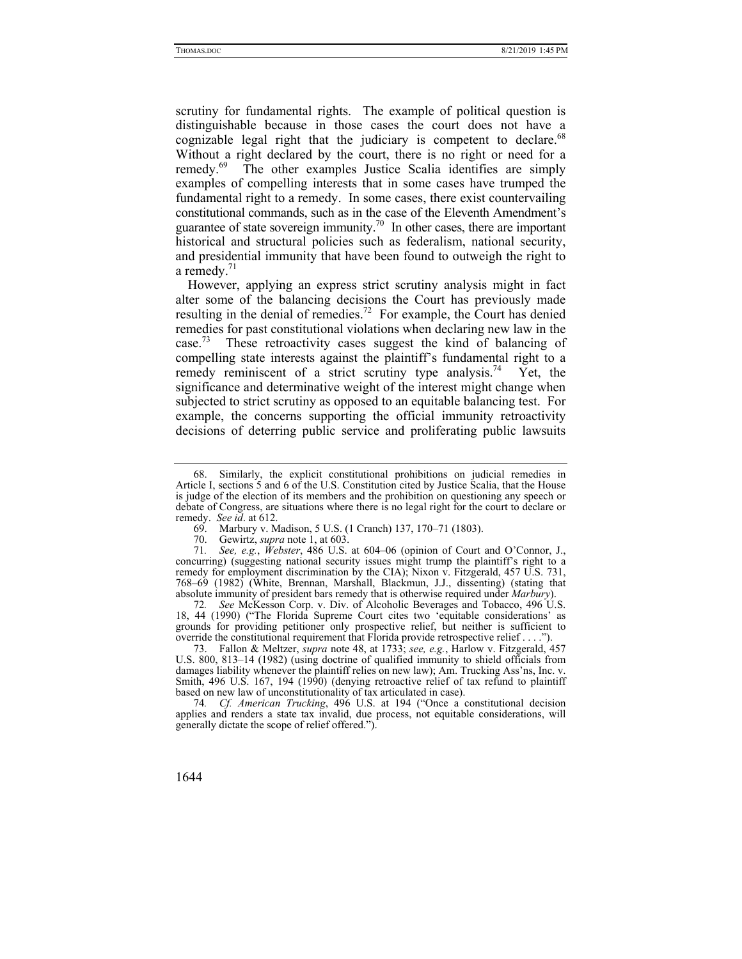scrutiny for fundamental rights. The example of political question is distinguishable because in those cases the court does not have a cognizable legal right that the judiciary is competent to declare. $68$ Without a right declared by the court, there is no right or need for a remedy.69 The other examples Justice Scalia identifies are simply examples of compelling interests that in some cases have trumped the fundamental right to a remedy. In some cases, there exist countervailing constitutional commands, such as in the case of the Eleventh Amendment's guarantee of state sovereign immunity.<sup>70</sup> In other cases, there are important historical and structural policies such as federalism, national security, and presidential immunity that have been found to outweigh the right to a remedy. $1$ 

However, applying an express strict scrutiny analysis might in fact alter some of the balancing decisions the Court has previously made resulting in the denial of remedies.72 For example, the Court has denied remedies for past constitutional violations when declaring new law in the case.<sup>73</sup> These retroactivity cases suggest the kind of balancing of compelling state interests against the plaintiff's fundamental right to a remedy reminiscent of a strict scrutiny type analysis.<sup>74</sup> Yet, the significance and determinative weight of the interest might change when subjected to strict scrutiny as opposed to an equitable balancing test. For example, the concerns supporting the official immunity retroactivity decisions of deterring public service and proliferating public lawsuits

 <sup>68.</sup> Similarly, the explicit constitutional prohibitions on judicial remedies in Article I, sections 5 and 6 of the U.S. Constitution cited by Justice Scalia, that the House is judge of the election of its members and the prohibition on questioning any speech or debate of Congress, are situations where there is no legal right for the court to declare or remedy. *See id*. at 612.

 <sup>69.</sup> Marbury v. Madison, 5 U.S. (1 Cranch) 137, 170–71 (1803).

 <sup>70.</sup> Gewirtz, *supra* note 1, at 603.

<sup>71</sup>*. See, e.g.*, *Webster*, 486 U.S. at 604–06 (opinion of Court and O'Connor, J., concurring) (suggesting national security issues might trump the plaintiff's right to a remedy for employment discrimination by the CIA); Nixon v. Fitzgerald, 457 U.S. 731, 768–69 (1982) (White, Brennan, Marshall, Blackmun, J.J., dissenting) (stating that absolute immunity of president bars remedy that is otherwise required under *Marbury*).

<sup>72</sup>*. See* McKesson Corp. v. Div. of Alcoholic Beverages and Tobacco, 496 U.S. 18, 44 (1990) ("The Florida Supreme Court cites two 'equitable considerations' as grounds for providing petitioner only prospective relief, but neither is sufficient to override the constitutional requirement that Florida provide retrospective relief . . . .").

 <sup>73.</sup> Fallon & Meltzer, *supra* note 48, at 1733; *see, e.g.*, Harlow v. Fitzgerald, 457 U.S. 800, 813–14 (1982) (using doctrine of qualified immunity to shield officials from damages liability whenever the plaintiff relies on new law); Am. Trucking Ass'ns, Inc. v. Smith, 496 U.S. 167, 194 (1990) (denying retroactive relief of tax refund to plaintiff based on new law of unconstitutionality of tax articulated in case).

<sup>74</sup>*. Cf. American Trucking*, 496 U.S. at 194 ("Once a constitutional decision applies and renders a state tax invalid, due process, not equitable considerations, will generally dictate the scope of relief offered.").